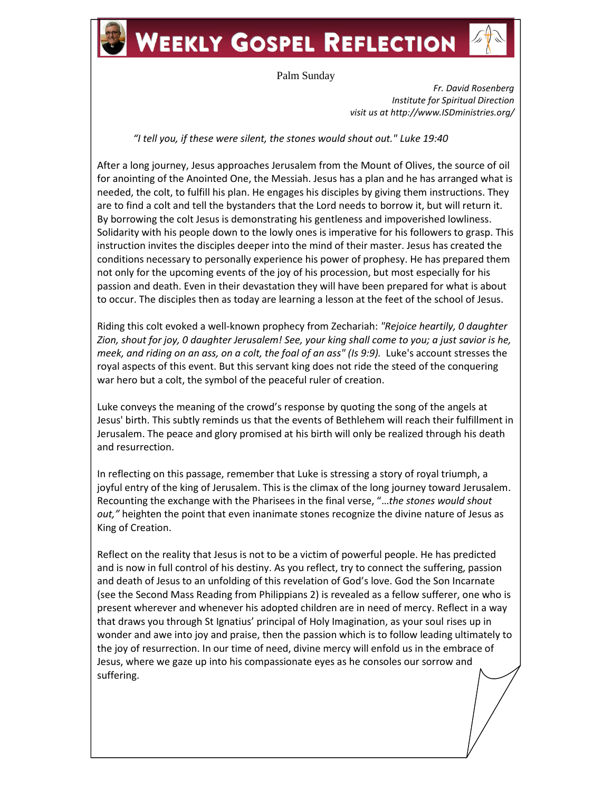## **WEEKLY GOSPEL REFLECTION**



*Fr. David Rosenberg Institute for Spiritual Direction visit us at http://www.ISDministries.org/*

*"I tell you, if these were silent, the stones would shout out." Luke 19:40*

After a long journey, Jesus approaches Jerusalem from the Mount of Olives, the source of oil for anointing of the Anointed One, the Messiah. Jesus has a plan and he has arranged what is needed, the colt, to fulfill his plan. He engages his disciples by giving them instructions. They are to find a colt and tell the bystanders that the Lord needs to borrow it, but will return it. By borrowing the colt Jesus is demonstrating his gentleness and impoverished lowliness. Solidarity with his people down to the lowly ones is imperative for his followers to grasp. This instruction invites the disciples deeper into the mind of their master. Jesus has created the conditions necessary to personally experience his power of prophesy. He has prepared them not only for the upcoming events of the joy of his procession, but most especially for his passion and death. Even in their devastation they will have been prepared for what is about to occur. The disciples then as today are learning a lesson at the feet of the school of Jesus.

Riding this colt evoked a well-known prophecy from Zechariah: *"Rejoice heartily, 0 daughter Zion, shout for joy, 0 daughter Jerusalem! See, your king shall come to you; a just savior is he, meek, and riding on an ass, on a colt, the foal of an ass" (Is 9:9).* Luke's account stresses the royal aspects of this event. But this servant king does not ride the steed of the conquering war hero but a colt, the symbol of the peaceful ruler of creation.

Luke conveys the meaning of the crowd's response by quoting the song of the angels at Jesus' birth. This subtly reminds us that the events of Bethlehem will reach their fulfillment in Jerusalem. The peace and glory promised at his birth will only be realized through his death and resurrection.

In reflecting on this passage, remember that Luke is stressing a story of royal triumph, a joyful entry of the king of Jerusalem. This is the climax of the long journey toward Jerusalem. Recounting the exchange with the Pharisees in the final verse, "…*the stones would shout out,"* heighten the point that even inanimate stones recognize the divine nature of Jesus as King of Creation.

Reflect on the reality that Jesus is not to be a victim of powerful people. He has predicted and is now in full control of his destiny. As you reflect, try to connect the suffering, passion and death of Jesus to an unfolding of this revelation of God's love. God the Son Incarnate (see the Second Mass Reading from Philippians 2) is revealed as a fellow sufferer, one who is present wherever and whenever his adopted children are in need of mercy. Reflect in a way that draws you through St Ignatius' principal of Holy Imagination, as your soul rises up in wonder and awe into joy and praise, then the passion which is to follow leading ultimately to the joy of resurrection. In our time of need, divine mercy will enfold us in the embrace of Jesus, where we gaze up into his compassionate eyes as he consoles our sorrow and suffering.